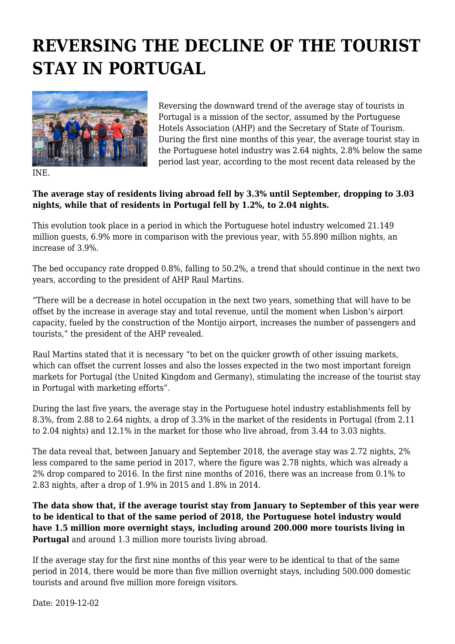## **REVERSING THE DECLINE OF THE TOURIST STAY IN PORTUGAL**



Reversing the downward trend of the average stay of tourists in Portugal is a mission of the sector, assumed by the Portuguese Hotels Association (AHP) and the Secretary of State of Tourism. During the first nine months of this year, the average tourist stay in the Portuguese hotel industry was 2.64 nights, 2.8% below the same period last year, according to the most recent data released by the

INE.

## **The average stay of residents living abroad fell by 3.3% until September, dropping to 3.03 nights, while that of residents in Portugal fell by 1.2%, to 2.04 nights.**

This evolution took place in a period in which the Portuguese hotel industry welcomed 21.149 million guests, 6.9% more in comparison with the previous year, with 55.890 million nights, an increase of 3.9%.

The bed occupancy rate dropped 0.8%, falling to 50.2%, a trend that should continue in the next two years, according to the president of AHP Raul Martins.

"There will be a decrease in hotel occupation in the next two years, something that will have to be offset by the increase in average stay and total revenue, until the moment when Lisbon's airport capacity, fueled by the construction of the Montijo airport, increases the number of passengers and tourists," the president of the AHP revealed.

Raul Martins stated that it is necessary "to bet on the quicker growth of other issuing markets, which can offset the current losses and also the losses expected in the two most important foreign markets for Portugal (the United Kingdom and Germany), stimulating the increase of the tourist stay in Portugal with marketing efforts".

During the last five years, the average stay in the Portuguese hotel industry establishments fell by 8.3%, from 2.88 to 2.64 nights, a drop of 3.3% in the market of the residents in Portugal (from 2.11 to 2.04 nights) and 12.1% in the market for those who live abroad, from 3.44 to 3.03 nights.

The data reveal that, between January and September 2018, the average stay was 2.72 nights, 2% less compared to the same period in 2017, where the figure was 2.78 nights, which was already a 2% drop compared to 2016. In the first nine months of 2016, there was an increase from 0.1% to 2.83 nights, after a drop of 1.9% in 2015 and 1.8% in 2014.

**The data show that, if the average tourist stay from January to September of this year were to be identical to that of the same period of 2018, the Portuguese hotel industry would have 1.5 million more overnight stays, including around 200.000 more tourists living in Portugal** and around 1.3 million more tourists living abroad.

If the average stay for the first nine months of this year were to be identical to that of the same period in 2014, there would be more than five million overnight stays, including 500.000 domestic tourists and around five million more foreign visitors.

Date: 2019-12-02